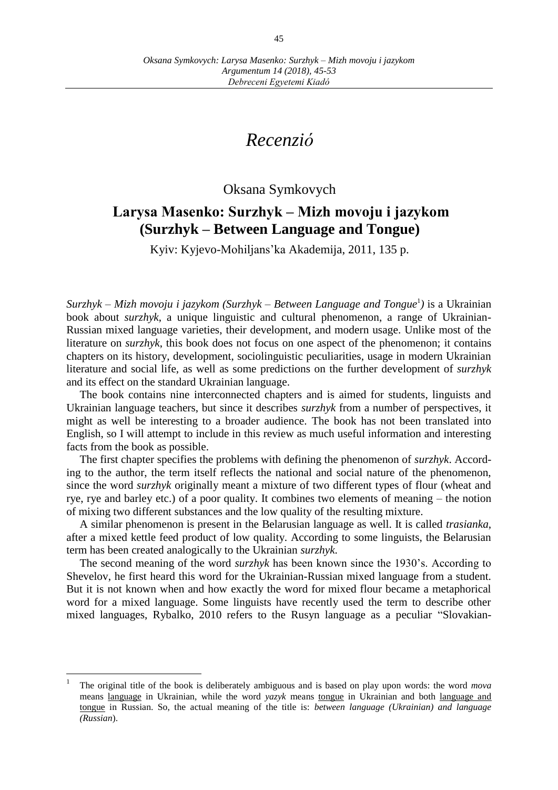*Debreceni Egyetemi Kiadó*

## *Recenzió*

## Oksana Symkovych

## **Larysa Masenko: Surzhyk – Mizh movoju i jazykom (Surzhyk – Between Language and Tongue)**

Kyiv: Kyjevo-Mohiljans'ka Akademija, 2011, 135 p.

*Surzhyk – Mizh movoju i jazykom (Surzhyk – Between Language and Tongue*<sup>1</sup> *)* is a Ukrainian book about *surzhyk*, a unique linguistic and cultural phenomenon, a range of Ukrainian-Russian mixed language varieties, their development, and modern usage. Unlike most of the literature on *surzhyk*, this book does not focus on one aspect of the phenomenon; it contains chapters on its history, development, sociolinguistic peculiarities, usage in modern Ukrainian literature and social life, as well as some predictions on the further development of *surzhyk* and its effect on the standard Ukrainian language.

The book contains nine interconnected chapters and is aimed for students, linguists and Ukrainian language teachers, but since it describes *surzhyk* from a number of perspectives, it might as well be interesting to a broader audience. The book has not been translated into English, so I will attempt to include in this review as much useful information and interesting facts from the book as possible.

The first chapter specifies the problems with defining the phenomenon of *surzhyk*. According to the author, the term itself reflects the national and social nature of the phenomenon, since the word *surzhyk* originally meant a mixture of two different types of flour (wheat and rye, rye and barley etc.) of a poor quality. It combines two elements of meaning – the notion of mixing two different substances and the low quality of the resulting mixture.

A similar phenomenon is present in the Belarusian language as well. It is called *trasianka*, after a mixed kettle feed product of low quality. According to some linguists, the Belarusian term has been created analogically to the Ukrainian *surzhyk*.

The second meaning of the word *surzhyk* has been known since the 1930's. According to Shevelov, he first heard this word for the Ukrainian-Russian mixed language from a student. But it is not known when and how exactly the word for mixed flour became a metaphorical word for a mixed language. Some linguists have recently used the term to describe other mixed languages, Rybalko, 2010 refers to the Rusyn language as a peculiar "Slovakian-

 $\overline{a}$ 

<sup>1</sup> The original title of the book is deliberately ambiguous and is based on play upon words: the word *mova* means language in Ukrainian, while the word *yazyk* means tongue in Ukrainian and both language and tongue in Russian. So, the actual meaning of the title is: *between language (Ukrainian) and language (Russian*).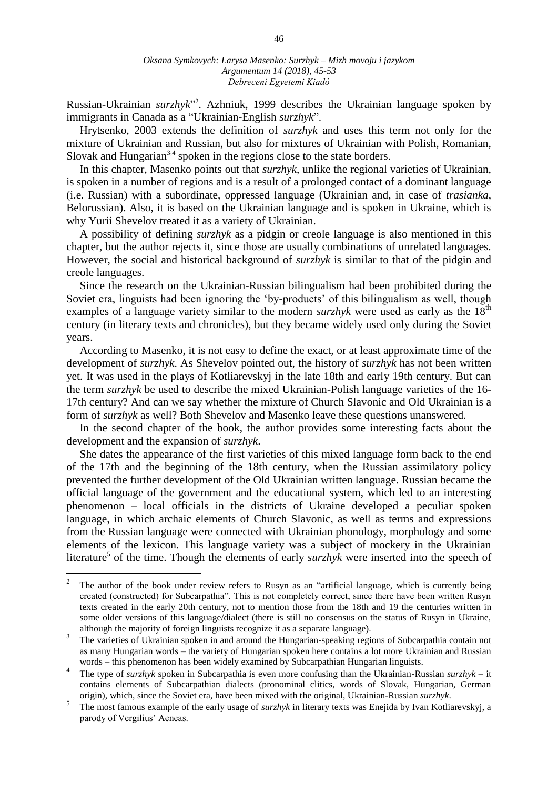Russian-Ukrainian *surzhyk*" 2 . Azhniuk, 1999 describes the Ukrainian language spoken by immigrants in Canada as a "Ukrainian-English *surzhyk*".

Hrytsenko, 2003 extends the definition of *surzhyk* and uses this term not only for the mixture of Ukrainian and Russian, but also for mixtures of Ukrainian with Polish, Romanian, Slovak and Hungarian<sup>3,4</sup> spoken in the regions close to the state borders.

In this chapter, Masenko points out that *surzhyk*, unlike the regional varieties of Ukrainian, is spoken in a number of regions and is a result of a prolonged contact of a dominant language (i.e. Russian) with a subordinate, oppressed language (Ukrainian and, in case of *trasianka*, Belorussian). Also, it is based on the Ukrainian language and is spoken in Ukraine, which is why Yurii Shevelov treated it as a variety of Ukrainian.

A possibility of defining *surzhyk* as a pidgin or creole language is also mentioned in this chapter, but the author rejects it, since those are usually combinations of unrelated languages. However, the social and historical background of *surzhyk* is similar to that of the pidgin and creole languages.

Since the research on the Ukrainian-Russian bilingualism had been prohibited during the Soviet era, linguists had been ignoring the 'by-products' of this bilingualism as well, though examples of a language variety similar to the modern *surzhyk* were used as early as the 18<sup>th</sup> century (in literary texts and chronicles), but they became widely used only during the Soviet years.

According to Masenko, it is not easy to define the exact, or at least approximate time of the development of *surzhyk*. As Shevelov pointed out, the history of *surzhyk* has not been written yet. It was used in the plays of Kotliarevskyj in the late 18th and early 19th century. But can the term *surzhyk* be used to describe the mixed Ukrainian-Polish language varieties of the 16- 17th century? And can we say whether the mixture of Church Slavonic and Old Ukrainian is a form of *surzhyk* as well? Both Shevelov and Masenko leave these questions unanswered.

In the second chapter of the book, the author provides some interesting facts about the development and the expansion of *surzhyk*.

She dates the appearance of the first varieties of this mixed language form back to the end of the 17th and the beginning of the 18th century, when the Russian assimilatory policy prevented the further development of the Old Ukrainian written language. Russian became the official language of the government and the educational system, which led to an interesting phenomenon – local officials in the districts of Ukraine developed a peculiar spoken language, in which archaic elements of Church Slavonic, as well as terms and expressions from the Russian language were connected with Ukrainian phonology, morphology and some elements of the lexicon. This language variety was a subject of mockery in the Ukrainian literature<sup>5</sup> of the time. Though the elements of early *surzhyk* were inserted into the speech of

 $\overline{a}$ 

<sup>2</sup> The author of the book under review refers to Rusyn as an "artificial language, which is currently being created (constructed) for Subcarpathia". This is not completely correct, since there have been written Rusyn texts created in the early 20th century, not to mention those from the 18th and 19 the centuries written in some older versions of this language/dialect (there is still no consensus on the status of Rusyn in Ukraine, although the majority of foreign linguists recognize it as a separate language).

<sup>3</sup> The varieties of Ukrainian spoken in and around the Hungarian-speaking regions of Subcarpathia contain not as many Hungarian words – the variety of Hungarian spoken here contains a lot more Ukrainian and Russian words – this phenomenon has been widely examined by Subcarpathian Hungarian linguists.

<sup>4</sup> The type of *surzhyk* spoken in Subcarpathia is even more confusing than the Ukrainian-Russian *surzhyk* – it contains elements of Subcarpathian dialects (pronominal clitics, words of Slovak, Hungarian, German origin), which, since the Soviet era, have been mixed with the original, Ukrainian-Russian *surzhyk*.

<sup>5</sup> The most famous example of the early usage of *surzhyk* in literary texts was Enejida by Ivan Kotliarevskyj, a parody of Vergilius' Aeneas.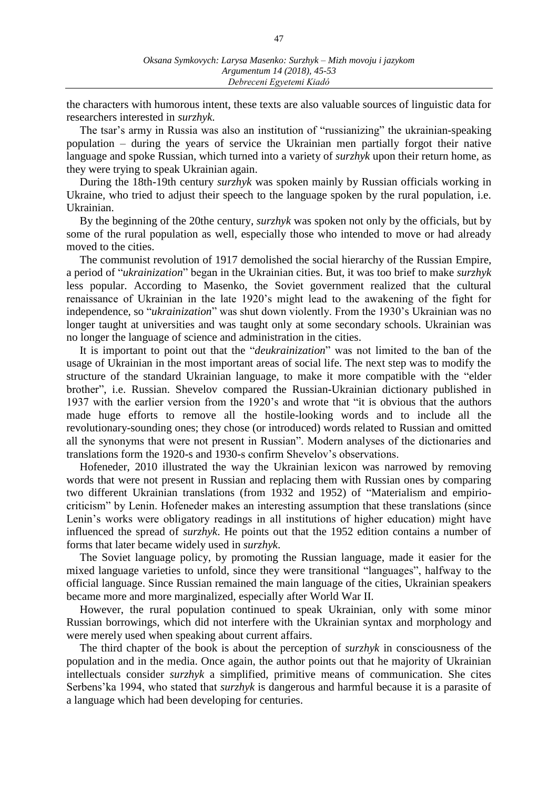the characters with humorous intent, these texts are also valuable sources of linguistic data for researchers interested in *surzhyk*.

The tsar's army in Russia was also an institution of "russianizing" the ukrainian-speaking population – during the years of service the Ukrainian men partially forgot their native language and spoke Russian, which turned into a variety of *surzhyk* upon their return home, as they were trying to speak Ukrainian again.

During the 18th-19th century *surzhyk* was spoken mainly by Russian officials working in Ukraine, who tried to adjust their speech to the language spoken by the rural population, i.e. Ukrainian.

By the beginning of the 20the century, *surzhyk* was spoken not only by the officials, but by some of the rural population as well, especially those who intended to move or had already moved to the cities.

The communist revolution of 1917 demolished the social hierarchy of the Russian Empire, a period of "*ukrainization*" began in the Ukrainian cities. But, it was too brief to make *surzhyk* less popular. According to Masenko, the Soviet government realized that the cultural renaissance of Ukrainian in the late 1920's might lead to the awakening of the fight for independence, so "*ukrainization*" was shut down violently. From the 1930's Ukrainian was no longer taught at universities and was taught only at some secondary schools. Ukrainian was no longer the language of science and administration in the cities.

It is important to point out that the "*deukrainization*" was not limited to the ban of the usage of Ukrainian in the most important areas of social life. The next step was to modify the structure of the standard Ukrainian language, to make it more compatible with the "elder brother", i.e. Russian. Shevelov compared the Russian-Ukrainian dictionary published in 1937 with the earlier version from the 1920's and wrote that "it is obvious that the authors made huge efforts to remove all the hostile-looking words and to include all the revolutionary-sounding ones; they chose (or introduced) words related to Russian and omitted all the synonyms that were not present in Russian". Modern analyses of the dictionaries and translations form the 1920-s and 1930-s confirm Shevelov's observations.

Hofeneder, 2010 illustrated the way the Ukrainian lexicon was narrowed by removing words that were not present in Russian and replacing them with Russian ones by comparing two different Ukrainian translations (from 1932 and 1952) of "Materialism and empiriocriticism" by Lenin. Hofeneder makes an interesting assumption that these translations (since Lenin's works were obligatory readings in all institutions of higher education) might have influenced the spread of *surzhyk*. He points out that the 1952 edition contains a number of forms that later became widely used in *surzhyk*.

The Soviet language policy, by promoting the Russian language, made it easier for the mixed language varieties to unfold, since they were transitional "languages", halfway to the official language. Since Russian remained the main language of the cities, Ukrainian speakers became more and more marginalized, especially after World War II.

However, the rural population continued to speak Ukrainian, only with some minor Russian borrowings, which did not interfere with the Ukrainian syntax and morphology and were merely used when speaking about current affairs.

The third chapter of the book is about the perception of *surzhyk* in consciousness of the population and in the media. Once again, the author points out that he majority of Ukrainian intellectuals consider *surzhyk* a simplified, primitive means of communication. She cites Serbens'ka 1994, who stated that *surzhyk* is dangerous and harmful because it is a parasite of a language which had been developing for centuries.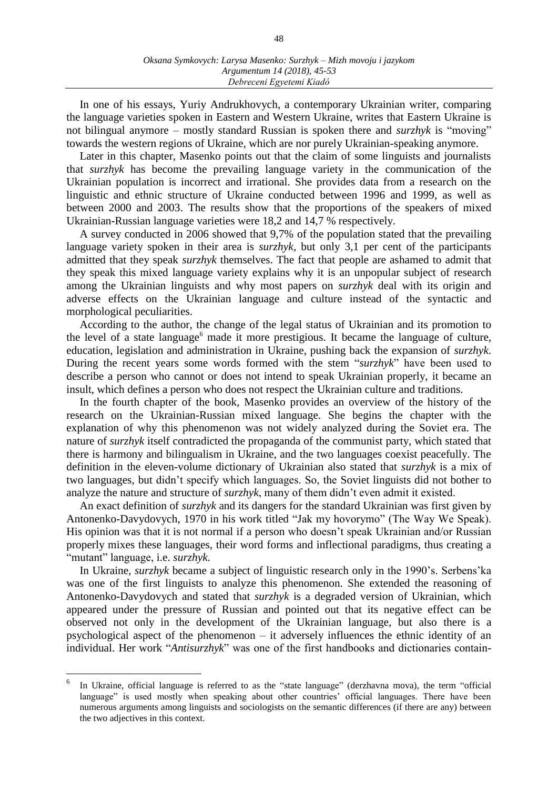In one of his essays, Yuriy Andrukhovych, a contemporary Ukrainian writer, comparing the language varieties spoken in Eastern and Western Ukraine, writes that Eastern Ukraine is not bilingual anymore – mostly standard Russian is spoken there and *surzhyk* is "moving" towards the western regions of Ukraine, which are nor purely Ukrainian-speaking anymore.

Later in this chapter, Masenko points out that the claim of some linguists and journalists that *surzhyk* has become the prevailing language variety in the communication of the Ukrainian population is incorrect and irrational. She provides data from a research on the linguistic and ethnic structure of Ukraine conducted between 1996 and 1999, as well as between 2000 and 2003. The results show that the proportions of the speakers of mixed Ukrainian-Russian language varieties were 18,2 and 14,7 % respectively.

A survey conducted in 2006 showed that 9,7% of the population stated that the prevailing language variety spoken in their area is *surzhyk*, but only 3,1 per cent of the participants admitted that they speak *surzhyk* themselves. The fact that people are ashamed to admit that they speak this mixed language variety explains why it is an unpopular subject of research among the Ukrainian linguists and why most papers on *surzhyk* deal with its origin and adverse effects on the Ukrainian language and culture instead of the syntactic and morphological peculiarities.

According to the author, the change of the legal status of Ukrainian and its promotion to the level of a state language<sup>6</sup> made it more prestigious. It became the language of culture, education, legislation and administration in Ukraine, pushing back the expansion of *surzhyk*. During the recent years some words formed with the stem "*surzhyk*" have been used to describe a person who cannot or does not intend to speak Ukrainian properly, it became an insult, which defines a person who does not respect the Ukrainian culture and traditions.

In the fourth chapter of the book, Masenko provides an overview of the history of the research on the Ukrainian-Russian mixed language. She begins the chapter with the explanation of why this phenomenon was not widely analyzed during the Soviet era. The nature of *surzhyk* itself contradicted the propaganda of the communist party, which stated that there is harmony and bilingualism in Ukraine, and the two languages coexist peacefully. The definition in the eleven-volume dictionary of Ukrainian also stated that *surzhyk* is a mix of two languages, but didn't specify which languages. So, the Soviet linguists did not bother to analyze the nature and structure of *surzhyk*, many of them didn't even admit it existed.

An exact definition of *surzhyk* and its dangers for the standard Ukrainian was first given by Antonenko-Davydovych, 1970 in his work titled "Jak my hovorymo" (The Way We Speak). His opinion was that it is not normal if a person who doesn't speak Ukrainian and/or Russian properly mixes these languages, their word forms and inflectional paradigms, thus creating a "mutant" language, i.e. *surzhyk*.

In Ukraine, *surzhyk* became a subject of linguistic research only in the 1990's. Serbens'ka was one of the first linguists to analyze this phenomenon. She extended the reasoning of Antonenko-Davydovych and stated that *surzhyk* is a degraded version of Ukrainian, which appeared under the pressure of Russian and pointed out that its negative effect can be observed not only in the development of the Ukrainian language, but also there is a psychological aspect of the phenomenon – it adversely influences the ethnic identity of an individual. Her work "*Antisurzhyk*" was one of the first handbooks and dictionaries contain-

 $\overline{a}$ 

<sup>6</sup> In Ukraine, official language is referred to as the "state language" (derzhavna mova), the term "official language" is used mostly when speaking about other countries' official languages. There have been numerous arguments among linguists and sociologists on the semantic differences (if there are any) between the two adjectives in this context.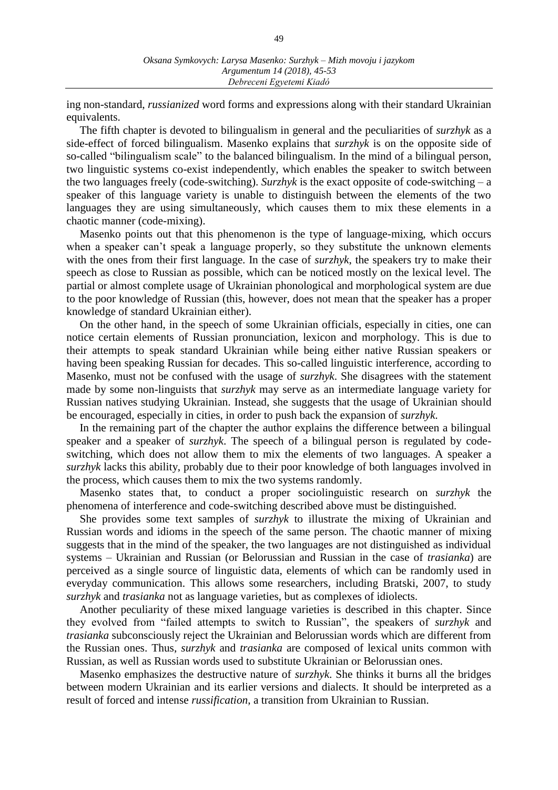ing non-standard, *russianized* word forms and expressions along with their standard Ukrainian equivalents.

The fifth chapter is devoted to bilingualism in general and the peculiarities of *surzhyk* as a side-effect of forced bilingualism. Masenko explains that *surzhyk* is on the opposite side of so-called "bilingualism scale" to the balanced bilingualism. In the mind of a bilingual person, two linguistic systems co-exist independently, which enables the speaker to switch between the two languages freely (code-switching). *Surzhyk* is the exact opposite of code-switching – a speaker of this language variety is unable to distinguish between the elements of the two languages they are using simultaneously, which causes them to mix these elements in a chaotic manner (code-mixing).

Masenko points out that this phenomenon is the type of language-mixing, which occurs when a speaker can't speak a language properly, so they substitute the unknown elements with the ones from their first language. In the case of *surzhyk*, the speakers try to make their speech as close to Russian as possible, which can be noticed mostly on the lexical level. The partial or almost complete usage of Ukrainian phonological and morphological system are due to the poor knowledge of Russian (this, however, does not mean that the speaker has a proper knowledge of standard Ukrainian either).

On the other hand, in the speech of some Ukrainian officials, especially in cities, one can notice certain elements of Russian pronunciation, lexicon and morphology. This is due to their attempts to speak standard Ukrainian while being either native Russian speakers or having been speaking Russian for decades. This so-called linguistic interference, according to Masenko, must not be confused with the usage of *surzhyk*. She disagrees with the statement made by some non-linguists that *surzhyk* may serve as an intermediate language variety for Russian natives studying Ukrainian. Instead, she suggests that the usage of Ukrainian should be encouraged, especially in cities, in order to push back the expansion of *surzhyk*.

In the remaining part of the chapter the author explains the difference between a bilingual speaker and a speaker of *surzhyk*. The speech of a bilingual person is regulated by codeswitching, which does not allow them to mix the elements of two languages. A speaker a *surzhyk* lacks this ability, probably due to their poor knowledge of both languages involved in the process, which causes them to mix the two systems randomly.

Masenko states that, to conduct a proper sociolinguistic research on *surzhyk* the phenomena of interference and code-switching described above must be distinguished.

She provides some text samples of *surzhyk* to illustrate the mixing of Ukrainian and Russian words and idioms in the speech of the same person. The chaotic manner of mixing suggests that in the mind of the speaker, the two languages are not distinguished as individual systems – Ukrainian and Russian (or Belorussian and Russian in the case of *trasianka*) are perceived as a single source of linguistic data, elements of which can be randomly used in everyday communication. This allows some researchers, including Bratski, 2007, to study *surzhyk* and *trasianka* not as language varieties, but as complexes of idiolects.

Another peculiarity of these mixed language varieties is described in this chapter. Since they evolved from "failed attempts to switch to Russian", the speakers of *surzhyk* and *trasianka* subconsciously reject the Ukrainian and Belorussian words which are different from the Russian ones. Thus, *surzhyk* and *trasianka* are composed of lexical units common with Russian, as well as Russian words used to substitute Ukrainian or Belorussian ones.

Masenko emphasizes the destructive nature of *surzhyk*. She thinks it burns all the bridges between modern Ukrainian and its earlier versions and dialects. It should be interpreted as a result of forced and intense *russification*, a transition from Ukrainian to Russian.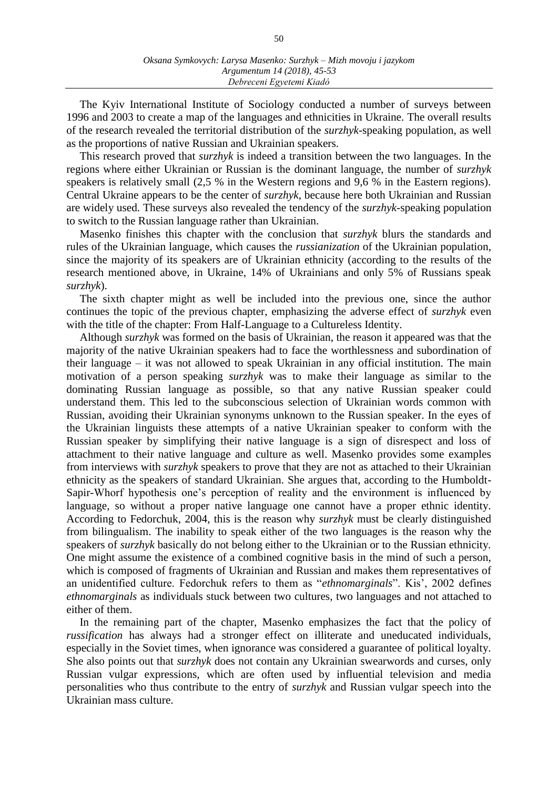The Kyiv International Institute of Sociology conducted a number of surveys between 1996 and 2003 to create a map of the languages and ethnicities in Ukraine. The overall results of the research revealed the territorial distribution of the *surzhyk*-speaking population, as well as the proportions of native Russian and Ukrainian speakers.

This research proved that *surzhyk* is indeed a transition between the two languages. In the regions where either Ukrainian or Russian is the dominant language, the number of *surzhyk* speakers is relatively small (2,5 % in the Western regions and 9,6 % in the Eastern regions). Central Ukraine appears to be the center of *surzhyk*, because here both Ukrainian and Russian are widely used. These surveys also revealed the tendency of the *surzhyk*-speaking population to switch to the Russian language rather than Ukrainian.

Masenko finishes this chapter with the conclusion that *surzhyk* blurs the standards and rules of the Ukrainian language, which causes the *russianization* of the Ukrainian population, since the majority of its speakers are of Ukrainian ethnicity (according to the results of the research mentioned above, in Ukraine, 14% of Ukrainians and only 5% of Russians speak *surzhyk*).

The sixth chapter might as well be included into the previous one, since the author continues the topic of the previous chapter, emphasizing the adverse effect of *surzhyk* even with the title of the chapter: From Half-Language to a Cultureless Identity.

Although *surzhyk* was formed on the basis of Ukrainian, the reason it appeared was that the majority of the native Ukrainian speakers had to face the worthlessness and subordination of their language – it was not allowed to speak Ukrainian in any official institution. The main motivation of a person speaking *surzhyk* was to make their language as similar to the dominating Russian language as possible, so that any native Russian speaker could understand them. This led to the subconscious selection of Ukrainian words common with Russian, avoiding their Ukrainian synonyms unknown to the Russian speaker. In the eyes of the Ukrainian linguists these attempts of a native Ukrainian speaker to conform with the Russian speaker by simplifying their native language is a sign of disrespect and loss of attachment to their native language and culture as well. Masenko provides some examples from interviews with *surzhyk* speakers to prove that they are not as attached to their Ukrainian ethnicity as the speakers of standard Ukrainian. She argues that, according to the Humboldt-Sapir-Whorf hypothesis one's perception of reality and the environment is influenced by language, so without a proper native language one cannot have a proper ethnic identity. According to Fedorchuk, 2004, this is the reason why *surzhyk* must be clearly distinguished from bilingualism. The inability to speak either of the two languages is the reason why the speakers of *surzhyk* basically do not belong either to the Ukrainian or to the Russian ethnicity. One might assume the existence of a combined cognitive basis in the mind of such a person, which is composed of fragments of Ukrainian and Russian and makes them representatives of an unidentified culture. Fedorchuk refers to them as "*ethnomarginals*". Kis', 2002 defines *ethnomarginals* as individuals stuck between two cultures, two languages and not attached to either of them.

In the remaining part of the chapter, Masenko emphasizes the fact that the policy of *russification* has always had a stronger effect on illiterate and uneducated individuals, especially in the Soviet times, when ignorance was considered a guarantee of political loyalty. She also points out that *surzhyk* does not contain any Ukrainian swearwords and curses, only Russian vulgar expressions, which are often used by influential television and media personalities who thus contribute to the entry of *surzhyk* and Russian vulgar speech into the Ukrainian mass culture.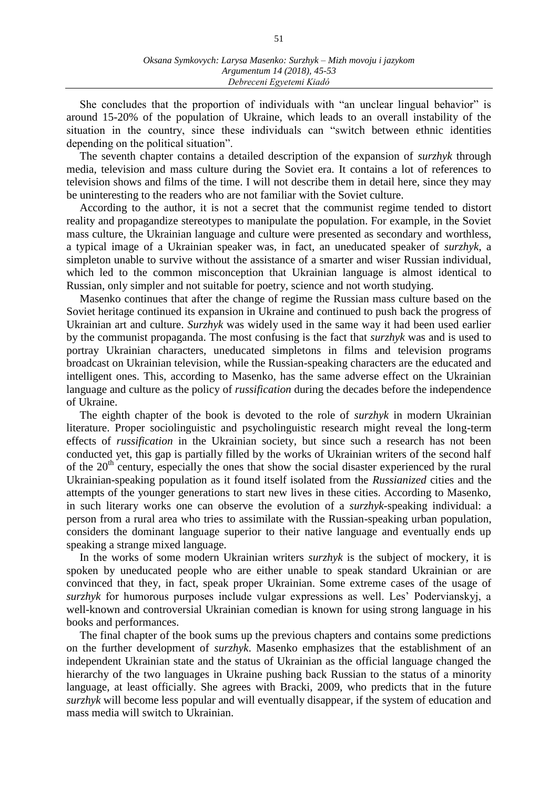She concludes that the proportion of individuals with "an unclear lingual behavior" is around 15-20% of the population of Ukraine, which leads to an overall instability of the situation in the country, since these individuals can "switch between ethnic identities depending on the political situation".

The seventh chapter contains a detailed description of the expansion of *surzhyk* through media, television and mass culture during the Soviet era. It contains a lot of references to television shows and films of the time. I will not describe them in detail here, since they may be uninteresting to the readers who are not familiar with the Soviet culture.

According to the author, it is not a secret that the communist regime tended to distort reality and propagandize stereotypes to manipulate the population. For example, in the Soviet mass culture, the Ukrainian language and culture were presented as secondary and worthless, a typical image of a Ukrainian speaker was, in fact, an uneducated speaker of *surzhyk*, a simpleton unable to survive without the assistance of a smarter and wiser Russian individual, which led to the common misconception that Ukrainian language is almost identical to Russian, only simpler and not suitable for poetry, science and not worth studying.

Masenko continues that after the change of regime the Russian mass culture based on the Soviet heritage continued its expansion in Ukraine and continued to push back the progress of Ukrainian art and culture. *Surzhyk* was widely used in the same way it had been used earlier by the communist propaganda. The most confusing is the fact that *surzhyk* was and is used to portray Ukrainian characters, uneducated simpletons in films and television programs broadcast on Ukrainian television, while the Russian-speaking characters are the educated and intelligent ones. This, according to Masenko, has the same adverse effect on the Ukrainian language and culture as the policy of *russification* during the decades before the independence of Ukraine.

The eighth chapter of the book is devoted to the role of *surzhyk* in modern Ukrainian literature. Proper sociolinguistic and psycholinguistic research might reveal the long-term effects of *russification* in the Ukrainian society, but since such a research has not been conducted yet, this gap is partially filled by the works of Ukrainian writers of the second half of the  $20<sup>th</sup>$  century, especially the ones that show the social disaster experienced by the rural Ukrainian-speaking population as it found itself isolated from the *Russianized* cities and the attempts of the younger generations to start new lives in these cities. According to Masenko, in such literary works one can observe the evolution of a *surzhyk*-speaking individual: a person from a rural area who tries to assimilate with the Russian-speaking urban population, considers the dominant language superior to their native language and eventually ends up speaking a strange mixed language.

In the works of some modern Ukrainian writers *surzhyk* is the subject of mockery, it is spoken by uneducated people who are either unable to speak standard Ukrainian or are convinced that they, in fact, speak proper Ukrainian. Some extreme cases of the usage of *surzhyk* for humorous purposes include vulgar expressions as well. Les' Podervianskyj, a well-known and controversial Ukrainian comedian is known for using strong language in his books and performances.

The final chapter of the book sums up the previous chapters and contains some predictions on the further development of *surzhyk*. Masenko emphasizes that the establishment of an independent Ukrainian state and the status of Ukrainian as the official language changed the hierarchy of the two languages in Ukraine pushing back Russian to the status of a minority language, at least officially. She agrees with Bracki, 2009, who predicts that in the future *surzhyk* will become less popular and will eventually disappear, if the system of education and mass media will switch to Ukrainian.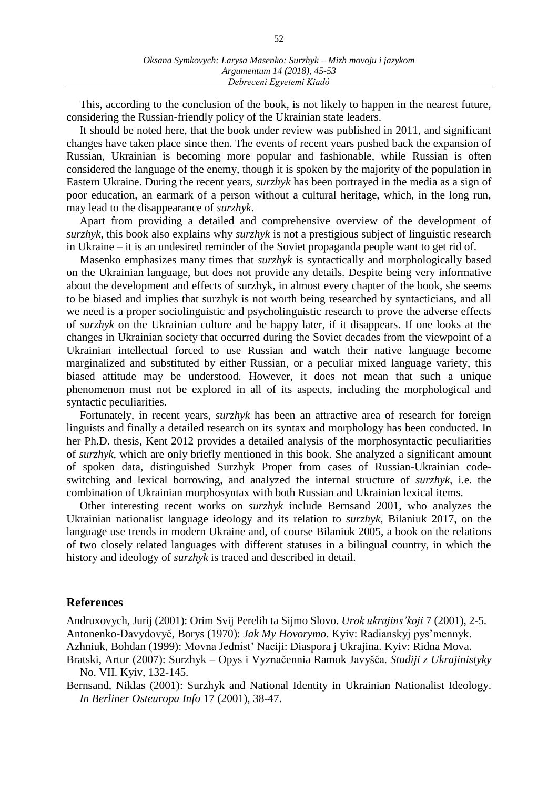This, according to the conclusion of the book, is not likely to happen in the nearest future, considering the Russian-friendly policy of the Ukrainian state leaders.

It should be noted here, that the book under review was published in 2011, and significant changes have taken place since then. The events of recent years pushed back the expansion of Russian, Ukrainian is becoming more popular and fashionable, while Russian is often considered the language of the enemy, though it is spoken by the majority of the population in Eastern Ukraine. During the recent years, *surzhyk* has been portrayed in the media as a sign of poor education, an earmark of a person without a cultural heritage, which, in the long run, may lead to the disappearance of *surzhyk*.

Apart from providing a detailed and comprehensive overview of the development of *surzhyk*, this book also explains why *surzhyk* is not a prestigious subject of linguistic research in Ukraine – it is an undesired reminder of the Soviet propaganda people want to get rid of.

Masenko emphasizes many times that *surzhyk* is syntactically and morphologically based on the Ukrainian language, but does not provide any details. Despite being very informative about the development and effects of surzhyk, in almost every chapter of the book, she seems to be biased and implies that surzhyk is not worth being researched by syntacticians, and all we need is a proper sociolinguistic and psycholinguistic research to prove the adverse effects of *surzhyk* on the Ukrainian culture and be happy later, if it disappears. If one looks at the changes in Ukrainian society that occurred during the Soviet decades from the viewpoint of a Ukrainian intellectual forced to use Russian and watch their native language become marginalized and substituted by either Russian, or a peculiar mixed language variety, this biased attitude may be understood. However, it does not mean that such a unique phenomenon must not be explored in all of its aspects, including the morphological and syntactic peculiarities.

Fortunately, in recent years, *surzhyk* has been an attractive area of research for foreign linguists and finally a detailed research on its syntax and morphology has been conducted. In her Ph.D. thesis, Kent 2012 provides a detailed analysis of the morphosyntactic peculiarities of *surzhyk*, which are only briefly mentioned in this book. She analyzed a significant amount of spoken data, distinguished Surzhyk Proper from cases of Russian-Ukrainian codeswitching and lexical borrowing, and analyzed the internal structure of *surzhyk,* i.e. the combination of Ukrainian morphosyntax with both Russian and Ukrainian lexical items.

Other interesting recent works on *surzhyk* include Bernsand 2001, who analyzes the Ukrainian nationalist language ideology and its relation to *surzhyk*, Bilaniuk 2017, on the language use trends in modern Ukraine and, of course Bilaniuk 2005, a book on the relations of two closely related languages with different statuses in a bilingual country, in which the history and ideology of *surzhyk* is traced and described in detail.

## **References**

Andruxovych, Jurij (2001): Orim Svij Perelih ta Sijmo Slovo. *Urok ukrajins'koji* 7 (2001), 2-5. Antonenko-Davydovyč, Borys (1970): *Jak My Hovorymo*. Kyiv: Radianskyj pys'mennyk. Azhniuk, Bohdan (1999): Movna Jednist' Naciji: Diaspora j Ukrajina. Kyiv: Ridna Mova.

Bratski, Artur (2007): Surzhyk – Opys i Vyznačennia Ramok Javyšča. *Studiji z Ukrajinistyky* No. VII. Kyiv, 132-145.

Bernsand, Niklas (2001): Surzhyk and National Identity in Ukrainian Nationalist Ideology. *In Berliner Osteuropa Info* 17 (2001), 38-47.